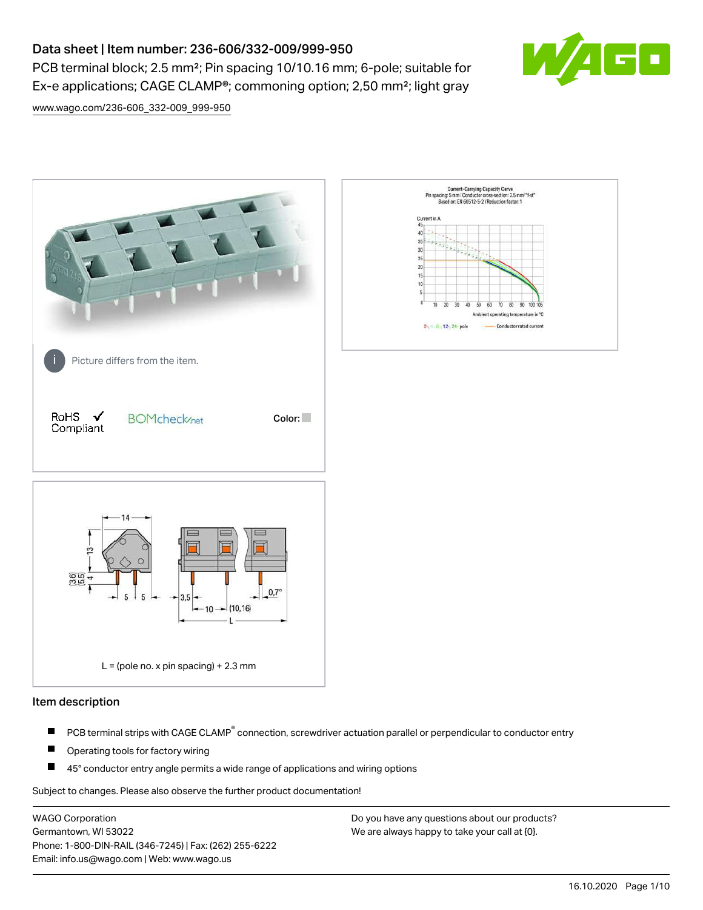# Data sheet | Item number: 236-606/332-009/999-950

PCB terminal block; 2.5 mm²; Pin spacing 10/10.16 mm; 6-pole; suitable for Ex-e applications; CAGE CLAMP®; commoning option; 2,50 mm²; light gray



[www.wago.com/236-606\\_332-009\\_999-950](http://www.wago.com/236-606_332-009_999-950)



#### Item description

- PCB terminal strips with CAGE CLAMP<sup>®</sup> connection, screwdriver actuation parallel or perpendicular to conductor entry П
- П Operating tools for factory wiring
- П 45° conductor entry angle permits a wide range of applications and wiring options

Subject to changes. Please also observe the further product documentation!

WAGO Corporation Germantown, WI 53022 Phone: 1-800-DIN-RAIL (346-7245) | Fax: (262) 255-6222 Email: info.us@wago.com | Web: www.wago.us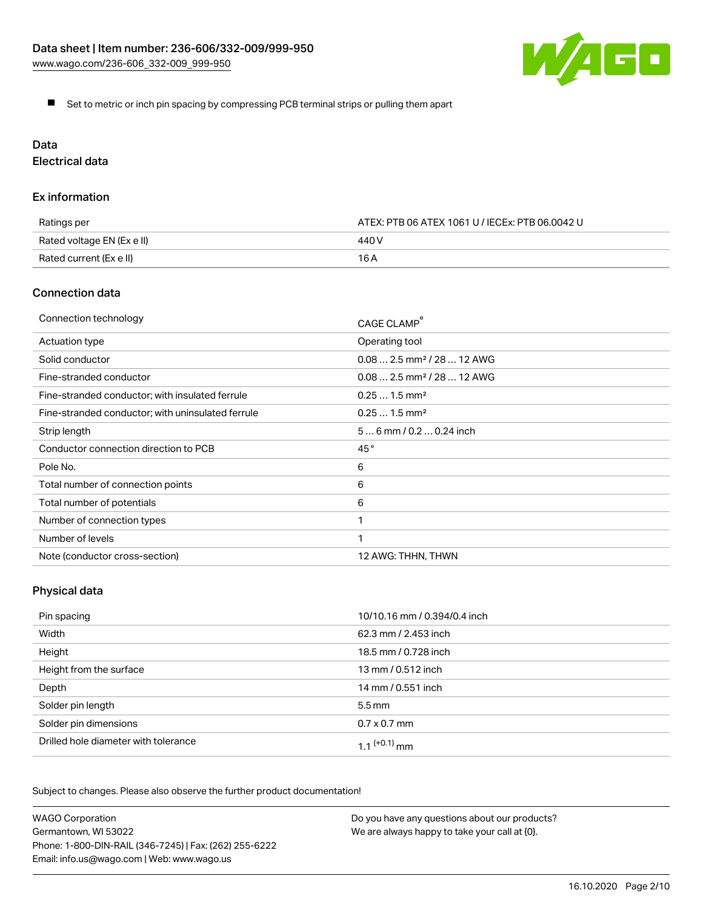

Set to metric or inch pin spacing by compressing PCB terminal strips or pulling them apart

# Data

Electrical data

## Ex information

| Ratings per                | ATEX: PTB 06 ATEX 1061 U / IECEx: PTB 06.0042 U |  |
|----------------------------|-------------------------------------------------|--|
| Rated voltage EN (Ex e II) | 440 V                                           |  |
| Rated current (Ex e II)    | 16 A                                            |  |

## Connection data

| Connection technology                             | CAGE CLAMP®                            |
|---------------------------------------------------|----------------------------------------|
| Actuation type                                    | Operating tool                         |
| Solid conductor                                   | $0.082.5$ mm <sup>2</sup> / 28  12 AWG |
| Fine-stranded conductor                           | $0.082.5$ mm <sup>2</sup> / 28  12 AWG |
| Fine-stranded conductor; with insulated ferrule   | $0.251.5$ mm <sup>2</sup>              |
| Fine-stranded conductor; with uninsulated ferrule | $0.251.5$ mm <sup>2</sup>              |
| Strip length                                      | $56$ mm / 0.2 $$ 0.24 inch             |
| Conductor connection direction to PCB             | 45°                                    |
| Pole No.                                          | 6                                      |
| Total number of connection points                 | 6                                      |
| Total number of potentials                        | 6                                      |
| Number of connection types                        |                                        |
| Number of levels                                  | 1                                      |
| Note (conductor cross-section)                    | 12 AWG: THHN, THWN                     |

# Physical data

| Pin spacing                          | 10/10.16 mm / 0.394/0.4 inch |
|--------------------------------------|------------------------------|
| Width                                | 62.3 mm / 2.453 inch         |
| Height                               | 18.5 mm / 0.728 inch         |
| Height from the surface              | 13 mm / 0.512 inch           |
| Depth                                | 14 mm / 0.551 inch           |
| Solder pin length                    | $5.5 \,\mathrm{mm}$          |
| Solder pin dimensions                | $0.7 \times 0.7$ mm          |
| Drilled hole diameter with tolerance | $1.1$ $(+0.1)$ mm            |

Subject to changes. Please also observe the further product documentation!

| <b>WAGO Corporation</b>                                | Do you have any questions about our products? |
|--------------------------------------------------------|-----------------------------------------------|
| Germantown, WI 53022                                   | We are always happy to take your call at {0}. |
| Phone: 1-800-DIN-RAIL (346-7245)   Fax: (262) 255-6222 |                                               |
| Email: info.us@wago.com   Web: www.wago.us             |                                               |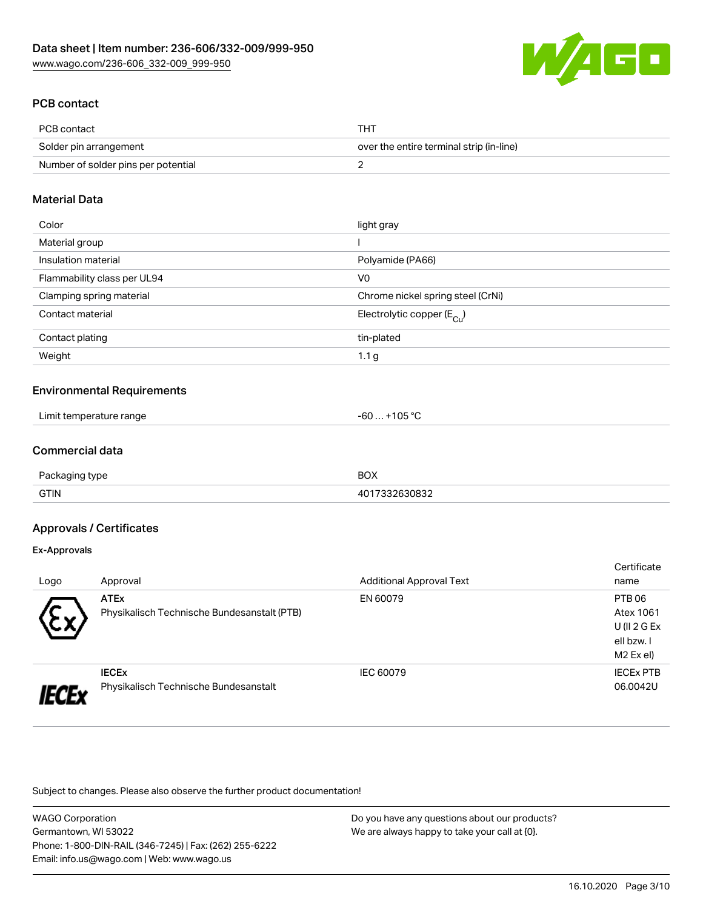

# PCB contact

| PCB contact                         | THT                                      |
|-------------------------------------|------------------------------------------|
| Solder pin arrangement              | over the entire terminal strip (in-line) |
| Number of solder pins per potential |                                          |

### Material Data

| Color                       | light gray                              |
|-----------------------------|-----------------------------------------|
| Material group              |                                         |
| Insulation material         | Polyamide (PA66)                        |
| Flammability class per UL94 | V <sub>0</sub>                          |
| Clamping spring material    | Chrome nickel spring steel (CrNi)       |
| Contact material            | Electrolytic copper ( $E_{\text{Cu}}$ ) |
| Contact plating             | tin-plated                              |
| Weight                      | 1.1 <sub>g</sub>                        |

#### Environmental Requirements

| .<br>Limit temperature range | $\sim$ $\sim$ $\sim$<br>-6L<br>$\overline{\mathbf{u}}$ |  |
|------------------------------|--------------------------------------------------------|--|
|------------------------------|--------------------------------------------------------|--|

## Commercial data

| $\Gamma$<br>vne.<br>11 11 1 1 1 1 | $D\cap V$<br>ורי |
|-----------------------------------|------------------|
| <b>GTIN</b>                       | .                |

### Approvals / Certificates

#### Ex-Approvals

|      |                                             |                                 | Certificate      |
|------|---------------------------------------------|---------------------------------|------------------|
| Logo | Approval                                    | <b>Additional Approval Text</b> | name             |
|      | <b>ATEx</b>                                 | EN 60079                        | PTB 06           |
| w    | Physikalisch Technische Bundesanstalt (PTB) |                                 | Atex 1061        |
|      |                                             |                                 | $U($ ll 2 G Ex   |
|      |                                             |                                 | ell bzw. I       |
|      |                                             |                                 | M2 Ex el)        |
|      | <b>IECEX</b>                                | IEC 60079                       | <b>IECEX PTB</b> |
|      | Physikalisch Technische Bundesanstalt       |                                 | 06.0042U         |

Subject to changes. Please also observe the further product documentation!

| <b>WAGO Corporation</b>                                |   |
|--------------------------------------------------------|---|
| Germantown, WI 53022                                   | N |
| Phone: 1-800-DIN-RAIL (346-7245)   Fax: (262) 255-6222 |   |
| Email: info.us@wago.com   Web: www.wago.us             |   |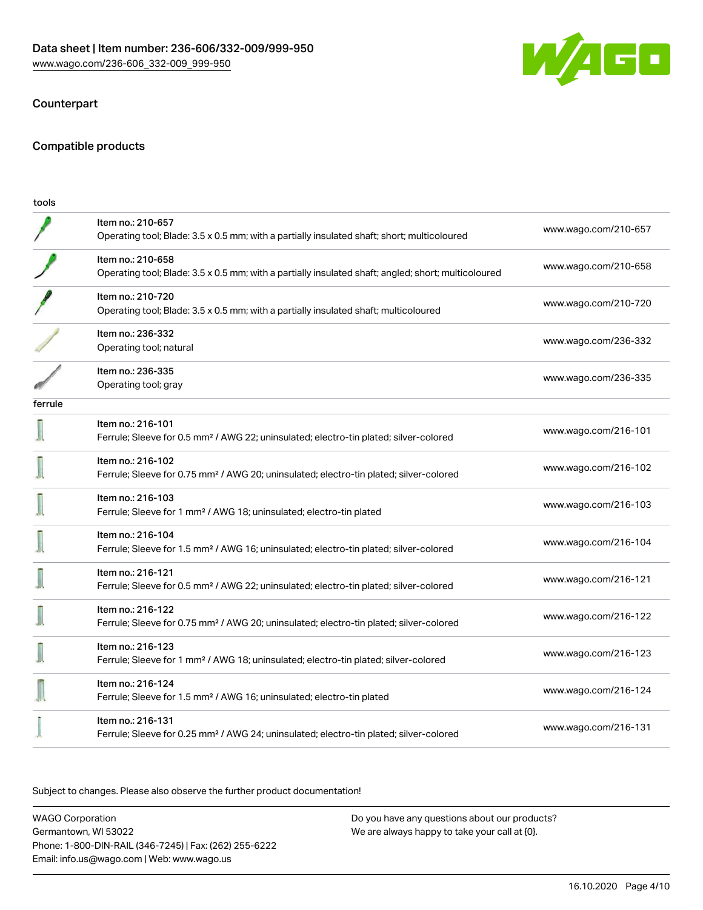

## Counterpart

#### Compatible products

| tools   |                                                                                                                          |                      |
|---------|--------------------------------------------------------------------------------------------------------------------------|----------------------|
|         | Item no.: 210-657<br>Operating tool; Blade: 3.5 x 0.5 mm; with a partially insulated shaft; short; multicoloured         | www.wago.com/210-657 |
|         | Item no.: 210-658<br>Operating tool; Blade: 3.5 x 0.5 mm; with a partially insulated shaft; angled; short; multicoloured | www.wago.com/210-658 |
|         | Item no.: 210-720<br>Operating tool; Blade: 3.5 x 0.5 mm; with a partially insulated shaft; multicoloured                | www.wago.com/210-720 |
|         | Item no.: 236-332<br>Operating tool; natural                                                                             | www.wago.com/236-332 |
|         | Item no.: 236-335<br>Operating tool; gray                                                                                | www.wago.com/236-335 |
| ferrule |                                                                                                                          |                      |
|         | Item no.: 216-101<br>Ferrule; Sleeve for 0.5 mm <sup>2</sup> / AWG 22; uninsulated; electro-tin plated; silver-colored   | www.wago.com/216-101 |
|         | Item no.: 216-102<br>Ferrule; Sleeve for 0.75 mm <sup>2</sup> / AWG 20; uninsulated; electro-tin plated; silver-colored  | www.wago.com/216-102 |
|         | Item no.: 216-103<br>Ferrule; Sleeve for 1 mm <sup>2</sup> / AWG 18; uninsulated; electro-tin plated                     | www.wago.com/216-103 |
|         | Item no.: 216-104<br>Ferrule; Sleeve for 1.5 mm <sup>2</sup> / AWG 16; uninsulated; electro-tin plated; silver-colored   | www.wago.com/216-104 |
|         | Item no.: 216-121<br>Ferrule; Sleeve for 0.5 mm <sup>2</sup> / AWG 22; uninsulated; electro-tin plated; silver-colored   | www.wago.com/216-121 |
|         | Item no.: 216-122<br>Ferrule; Sleeve for 0.75 mm <sup>2</sup> / AWG 20; uninsulated; electro-tin plated; silver-colored  | www.wago.com/216-122 |
|         | Item no.: 216-123<br>Ferrule; Sleeve for 1 mm <sup>2</sup> / AWG 18; uninsulated; electro-tin plated; silver-colored     | www.wago.com/216-123 |
|         | Item no.: 216-124<br>Ferrule; Sleeve for 1.5 mm <sup>2</sup> / AWG 16; uninsulated; electro-tin plated                   | www.wago.com/216-124 |
|         | Item no.: 216-131<br>Ferrule; Sleeve for 0.25 mm <sup>2</sup> / AWG 24; uninsulated; electro-tin plated; silver-colored  | www.wago.com/216-131 |

Subject to changes. Please also observe the further product documentation!

WAGO Corporation Germantown, WI 53022 Phone: 1-800-DIN-RAIL (346-7245) | Fax: (262) 255-6222 Email: info.us@wago.com | Web: www.wago.us Do you have any questions about our products? We are always happy to take your call at {0}.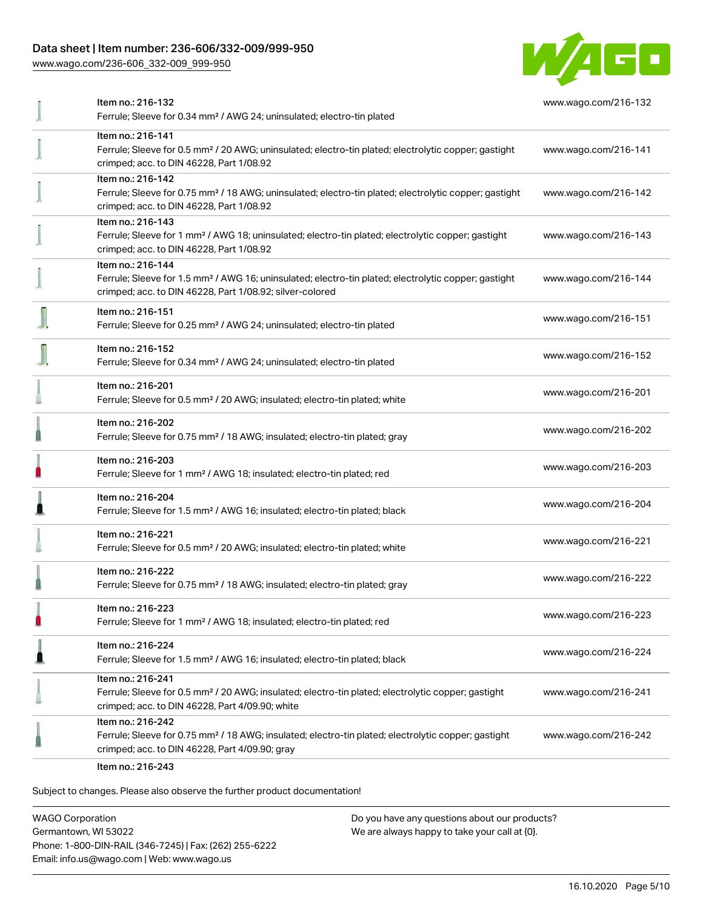## Data sheet | Item number: 236-606/332-009/999-950

[www.wago.com/236-606\\_332-009\\_999-950](http://www.wago.com/236-606_332-009_999-950)



|   | Item no.: 216-132<br>Ferrule; Sleeve for 0.34 mm <sup>2</sup> / AWG 24; uninsulated; electro-tin plated                                                                                           | www.wago.com/216-132 |
|---|---------------------------------------------------------------------------------------------------------------------------------------------------------------------------------------------------|----------------------|
|   | Item no.: 216-141<br>Ferrule; Sleeve for 0.5 mm <sup>2</sup> / 20 AWG; uninsulated; electro-tin plated; electrolytic copper; gastight<br>crimped; acc. to DIN 46228, Part 1/08.92                 | www.wago.com/216-141 |
|   | Item no.: 216-142<br>Ferrule; Sleeve for 0.75 mm <sup>2</sup> / 18 AWG; uninsulated; electro-tin plated; electrolytic copper; gastight<br>crimped; acc. to DIN 46228, Part 1/08.92                | www.wago.com/216-142 |
|   | Item no.: 216-143<br>Ferrule; Sleeve for 1 mm <sup>2</sup> / AWG 18; uninsulated; electro-tin plated; electrolytic copper; gastight<br>crimped; acc. to DIN 46228, Part 1/08.92                   | www.wago.com/216-143 |
|   | Item no.: 216-144<br>Ferrule; Sleeve for 1.5 mm <sup>2</sup> / AWG 16; uninsulated; electro-tin plated; electrolytic copper; gastight<br>crimped; acc. to DIN 46228, Part 1/08.92; silver-colored | www.wago.com/216-144 |
|   | Item no.: 216-151<br>Ferrule; Sleeve for 0.25 mm <sup>2</sup> / AWG 24; uninsulated; electro-tin plated                                                                                           | www.wago.com/216-151 |
|   | Item no.: 216-152<br>Ferrule; Sleeve for 0.34 mm <sup>2</sup> / AWG 24; uninsulated; electro-tin plated                                                                                           | www.wago.com/216-152 |
|   | Item no.: 216-201<br>Ferrule; Sleeve for 0.5 mm <sup>2</sup> / 20 AWG; insulated; electro-tin plated; white                                                                                       | www.wago.com/216-201 |
|   | Item no.: 216-202<br>Ferrule; Sleeve for 0.75 mm <sup>2</sup> / 18 AWG; insulated; electro-tin plated; gray                                                                                       | www.wago.com/216-202 |
|   | Item no.: 216-203<br>Ferrule; Sleeve for 1 mm <sup>2</sup> / AWG 18; insulated; electro-tin plated; red                                                                                           | www.wago.com/216-203 |
|   | Item no.: 216-204<br>Ferrule; Sleeve for 1.5 mm <sup>2</sup> / AWG 16; insulated; electro-tin plated; black                                                                                       | www.wago.com/216-204 |
|   | Item no.: 216-221<br>Ferrule; Sleeve for 0.5 mm <sup>2</sup> / 20 AWG; insulated; electro-tin plated; white                                                                                       | www.wago.com/216-221 |
|   | Item no.: 216-222<br>Ferrule; Sleeve for 0.75 mm <sup>2</sup> / 18 AWG; insulated; electro-tin plated; gray                                                                                       | www.wago.com/216-222 |
| n | Item no.: 216-223<br>Ferrule; Sleeve for 1 mm <sup>2</sup> / AWG 18; insulated; electro-tin plated; red                                                                                           | www.wago.com/216-223 |
|   | Item no.: 216-224<br>Ferrule; Sleeve for 1.5 mm <sup>2</sup> / AWG 16; insulated; electro-tin plated; black                                                                                       | www.wago.com/216-224 |
|   | Item no.: 216-241<br>Ferrule; Sleeve for 0.5 mm <sup>2</sup> / 20 AWG; insulated; electro-tin plated; electrolytic copper; gastight<br>crimped; acc. to DIN 46228, Part 4/09.90; white            | www.wago.com/216-241 |
|   | Item no.: 216-242<br>Ferrule; Sleeve for 0.75 mm <sup>2</sup> / 18 AWG; insulated; electro-tin plated; electrolytic copper; gastight<br>crimped; acc. to DIN 46228, Part 4/09.90; gray            | www.wago.com/216-242 |
|   |                                                                                                                                                                                                   |                      |

Item no.: 216-243

Subject to changes. Please also observe the further product documentation!

WAGO Corporation Germantown, WI 53022 Phone: 1-800-DIN-RAIL (346-7245) | Fax: (262) 255-6222 Email: info.us@wago.com | Web: www.wago.us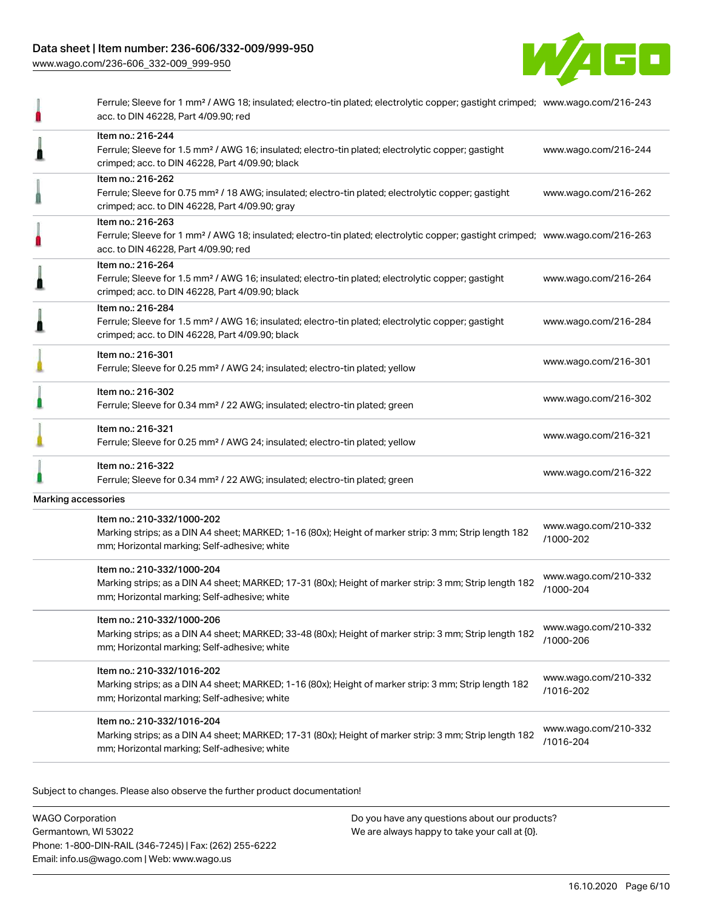## Data sheet | Item number: 236-606/332-009/999-950

[www.wago.com/236-606\\_332-009\\_999-950](http://www.wago.com/236-606_332-009_999-950)



|                     | Ferrule; Sleeve for 1 mm <sup>2</sup> / AWG 18; insulated; electro-tin plated; electrolytic copper; gastight crimped; www.wago.com/216-243<br>acc. to DIN 46228, Part 4/09.90; red                      |                                   |
|---------------------|---------------------------------------------------------------------------------------------------------------------------------------------------------------------------------------------------------|-----------------------------------|
|                     | Item no.: 216-244<br>Ferrule; Sleeve for 1.5 mm <sup>2</sup> / AWG 16; insulated; electro-tin plated; electrolytic copper; gastight<br>crimped; acc. to DIN 46228, Part 4/09.90; black                  | www.wago.com/216-244              |
|                     | Item no.: 216-262<br>Ferrule; Sleeve for 0.75 mm <sup>2</sup> / 18 AWG; insulated; electro-tin plated; electrolytic copper; gastight<br>crimped; acc. to DIN 46228, Part 4/09.90; gray                  | www.wago.com/216-262              |
|                     | Item no.: 216-263<br>Ferrule; Sleeve for 1 mm <sup>2</sup> / AWG 18; insulated; electro-tin plated; electrolytic copper; gastight crimped; www.wago.com/216-263<br>acc. to DIN 46228, Part 4/09.90; red |                                   |
|                     | Item no.: 216-264<br>Ferrule; Sleeve for 1.5 mm <sup>2</sup> / AWG 16; insulated; electro-tin plated; electrolytic copper; gastight<br>crimped; acc. to DIN 46228, Part 4/09.90; black                  | www.wago.com/216-264              |
|                     | Item no.: 216-284<br>Ferrule; Sleeve for 1.5 mm <sup>2</sup> / AWG 16; insulated; electro-tin plated; electrolytic copper; gastight<br>crimped; acc. to DIN 46228, Part 4/09.90; black                  | www.wago.com/216-284              |
|                     | Item no.: 216-301<br>Ferrule; Sleeve for 0.25 mm <sup>2</sup> / AWG 24; insulated; electro-tin plated; yellow                                                                                           | www.wago.com/216-301              |
|                     | Item no.: 216-302<br>Ferrule; Sleeve for 0.34 mm <sup>2</sup> / 22 AWG; insulated; electro-tin plated; green                                                                                            | www.wago.com/216-302              |
|                     | Item no.: 216-321<br>Ferrule; Sleeve for 0.25 mm <sup>2</sup> / AWG 24; insulated; electro-tin plated; yellow                                                                                           | www.wago.com/216-321              |
|                     | Item no.: 216-322<br>Ferrule; Sleeve for 0.34 mm <sup>2</sup> / 22 AWG; insulated; electro-tin plated; green                                                                                            | www.wago.com/216-322              |
| Marking accessories |                                                                                                                                                                                                         |                                   |
|                     | Item no.: 210-332/1000-202<br>Marking strips; as a DIN A4 sheet; MARKED; 1-16 (80x); Height of marker strip: 3 mm; Strip length 182<br>mm; Horizontal marking; Self-adhesive; white                     | www.wago.com/210-332<br>/1000-202 |
|                     | Item no.: 210-332/1000-204<br>Marking strips; as a DIN A4 sheet; MARKED; 17-31 (80x); Height of marker strip: 3 mm; Strip length 182<br>mm; Horizontal marking; Self-adhesive; white                    | www.wago.com/210-332<br>/1000-204 |
|                     | Item no.: 210-332/1000-206<br>Marking strips; as a DIN A4 sheet; MARKED; 33-48 (80x); Height of marker strip: 3 mm; Strip length 182<br>mm; Horizontal marking; Self-adhesive; white                    | www.wago.com/210-332<br>/1000-206 |
|                     | Item no.: 210-332/1016-202<br>Marking strips; as a DIN A4 sheet; MARKED; 1-16 (80x); Height of marker strip: 3 mm; Strip length 182<br>mm; Horizontal marking; Self-adhesive; white                     | www.wago.com/210-332<br>/1016-202 |
|                     | Item no.: 210-332/1016-204<br>Marking strips; as a DIN A4 sheet; MARKED; 17-31 (80x); Height of marker strip: 3 mm; Strip length 182<br>mm; Horizontal marking; Self-adhesive; white                    | www.wago.com/210-332<br>/1016-204 |
|                     |                                                                                                                                                                                                         |                                   |

Subject to changes. Please also observe the further product documentation!

WAGO Corporation Germantown, WI 53022 Phone: 1-800-DIN-RAIL (346-7245) | Fax: (262) 255-6222 Email: info.us@wago.com | Web: www.wago.us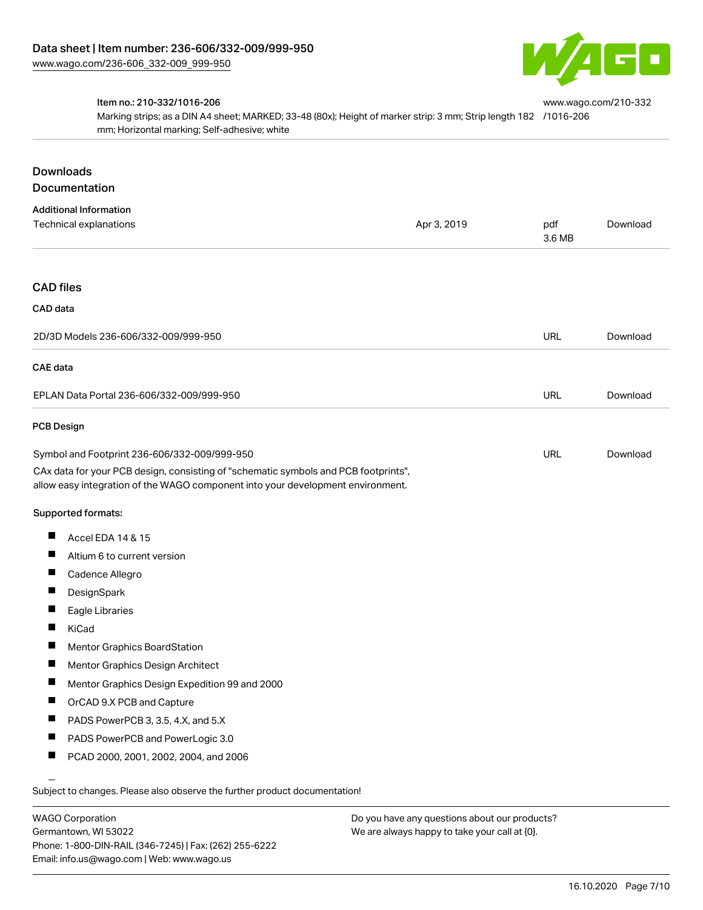

#### Item no.: 210-332/1016-206

Marking strips; as a DIN A4 sheet; MARKED; 33-48 (80x); Height of marker strip: 3 mm; Strip length 182 [/1016-206](http://www.wago.com/210-332/1016-206) mm; Horizontal marking; Self-adhesive; white [www.wago.com/210-332](http://www.wago.com/210-332/1016-206)

## Downloads Documentation

| <b>Additional Information</b>                                                                                                                                          |             |               |          |
|------------------------------------------------------------------------------------------------------------------------------------------------------------------------|-------------|---------------|----------|
| Technical explanations                                                                                                                                                 | Apr 3, 2019 | pdf<br>3.6 MB | Download |
| <b>CAD files</b>                                                                                                                                                       |             |               |          |
| CAD data                                                                                                                                                               |             |               |          |
|                                                                                                                                                                        |             |               |          |
| 2D/3D Models 236-606/332-009/999-950                                                                                                                                   |             | <b>URL</b>    | Download |
| <b>CAE</b> data                                                                                                                                                        |             |               |          |
| EPLAN Data Portal 236-606/332-009/999-950                                                                                                                              |             | <b>URL</b>    | Download |
| <b>PCB Design</b>                                                                                                                                                      |             |               |          |
| Symbol and Footprint 236-606/332-009/999-950                                                                                                                           |             | <b>URL</b>    | Download |
| CAx data for your PCB design, consisting of "schematic symbols and PCB footprints",<br>allow easy integration of the WAGO component into your development environment. |             |               |          |
| Supported formats:                                                                                                                                                     |             |               |          |
| Accel EDA 14 & 15                                                                                                                                                      |             |               |          |
| П<br>Altium 6 to current version                                                                                                                                       |             |               |          |
| Ш<br>Cadence Allegro                                                                                                                                                   |             |               |          |
| ш<br>DesignSpark                                                                                                                                                       |             |               |          |
| Ш<br>Eagle Libraries                                                                                                                                                   |             |               |          |
| ш<br>KiCad                                                                                                                                                             |             |               |          |
| ш<br><b>Mentor Graphics BoardStation</b>                                                                                                                               |             |               |          |
| ш<br>Mentor Graphics Design Architect                                                                                                                                  |             |               |          |
| П<br>Mentor Graphics Design Expedition 99 and 2000                                                                                                                     |             |               |          |
| ш<br>OrCAD 9.X PCB and Capture                                                                                                                                         |             |               |          |
| Ш<br>PADS PowerPCB 3, 3.5, 4.X, and 5.X                                                                                                                                |             |               |          |
| PADS PowerPCB and PowerLogic 3.0                                                                                                                                       |             |               |          |
| ш<br>PCAD 2000, 2001, 2002, 2004, and 2006                                                                                                                             |             |               |          |
|                                                                                                                                                                        |             |               |          |

.<br>Subject to changes. Please also observe the further product documentation!

WAGO Corporation Germantown, WI 53022 Phone: 1-800-DIN-RAIL (346-7245) | Fax: (262) 255-6222 Email: info.us@wago.com | Web: www.wago.us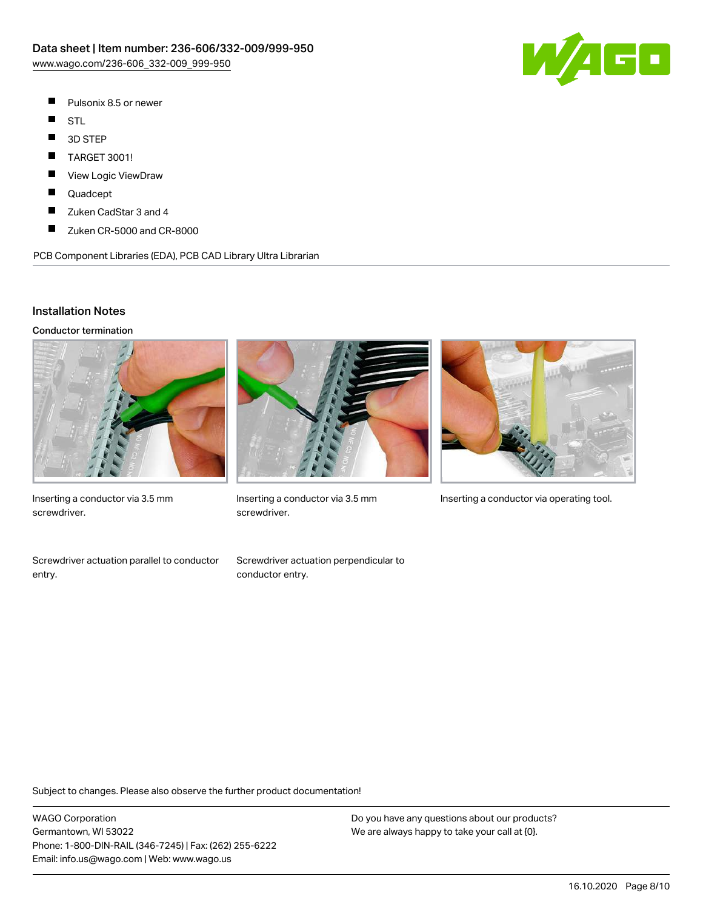

- $\blacksquare$ Pulsonix 8.5 or newer
- $\blacksquare$ STL
- $\blacksquare$ 3D STEP
- $\blacksquare$ TARGET 3001!
- П View Logic ViewDraw
- П Quadcept
- $\blacksquare$ Zuken CadStar 3 and 4
- $\blacksquare$ Zuken CR-5000 and CR-8000

PCB Component Libraries (EDA), PCB CAD Library Ultra Librarian

#### Installation Notes

Conductor termination



Inserting a conductor via 3.5 mm screwdriver.



screwdriver.



Inserting a conductor via 3.5 mm Inserting a conductor via operating tool.

Screwdriver actuation parallel to conductor entry.

Screwdriver actuation perpendicular to conductor entry.

Subject to changes. Please also observe the further product documentation!

WAGO Corporation Germantown, WI 53022 Phone: 1-800-DIN-RAIL (346-7245) | Fax: (262) 255-6222 Email: info.us@wago.com | Web: www.wago.us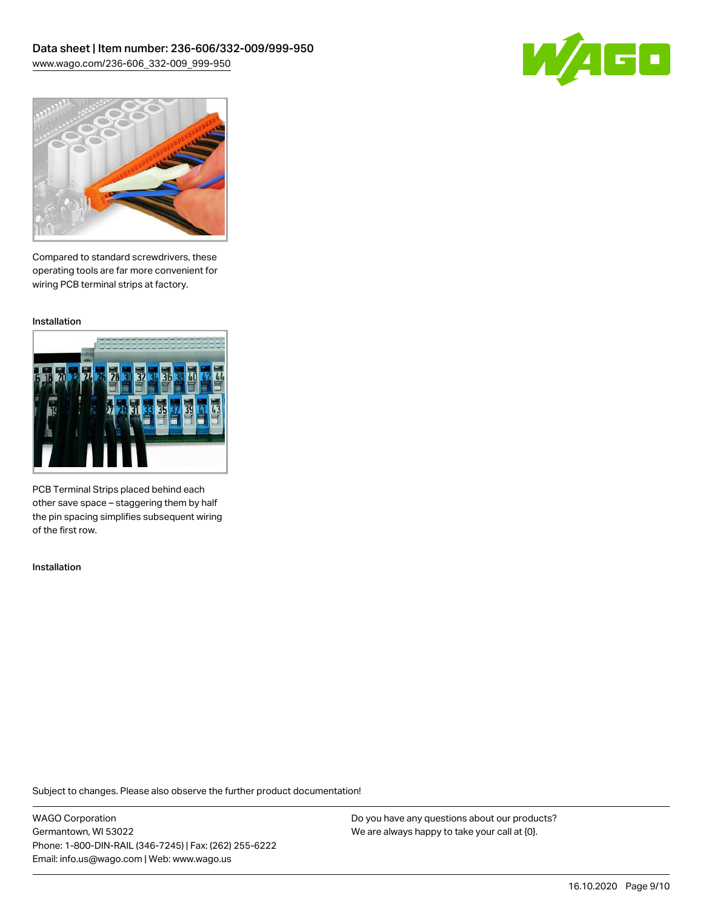



Compared to standard screwdrivers, these operating tools are far more convenient for wiring PCB terminal strips at factory.

Installation



PCB Terminal Strips placed behind each other save space – staggering them by half the pin spacing simplifies subsequent wiring of the first row.

Installation

Subject to changes. Please also observe the further product documentation!

WAGO Corporation Germantown, WI 53022 Phone: 1-800-DIN-RAIL (346-7245) | Fax: (262) 255-6222 Email: info.us@wago.com | Web: www.wago.us